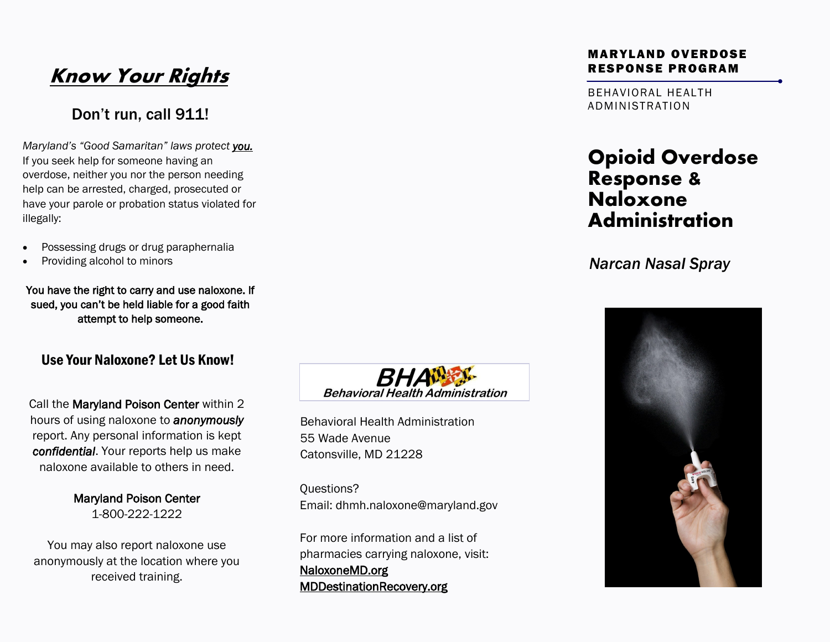# **Know Your Rights**

#### Don't run, call 911!

*Maryland's "Good Samaritan" laws protect you.*  If you seek help for someone having an overdose, neither you nor the person needing help can be arrested, charged, prosecuted or have your parole or probation status violated for illegally:

- Possessing drugs or drug paraphernalia
- Providing alcohol to minors

You have the right to carry and use naloxone. If sued, you can't be held liable for a good faith attempt to help someone.

#### Use Your Naloxone? Let Us Know!

Call the Maryland Poison Center within 2 hours of using naloxone to *anonymously*  report. Any personal information is kept *confidential*. Your reports help us make naloxone available to others in need.

> Maryland Poison Center 1-800-222-1222

You may also report naloxone use anonymously at the location where you received training.



Behavioral Health Administration 55 Wade Avenue Catonsville, MD 21228

Questions? Email: dhmh.naloxone@maryland.gov

For more information and a list of pharmacies carrying naloxone, visit: NaloxoneMD.org MDDestinationRecovery.org

#### MARYLAND OVERDOSE RESPONSE PROGRAM

BEHAVIORAL HEALTH ADMINISTRATION

#### **Opioid Overdose Response & Naloxone Administration**

*Narcan Nasal Spray*